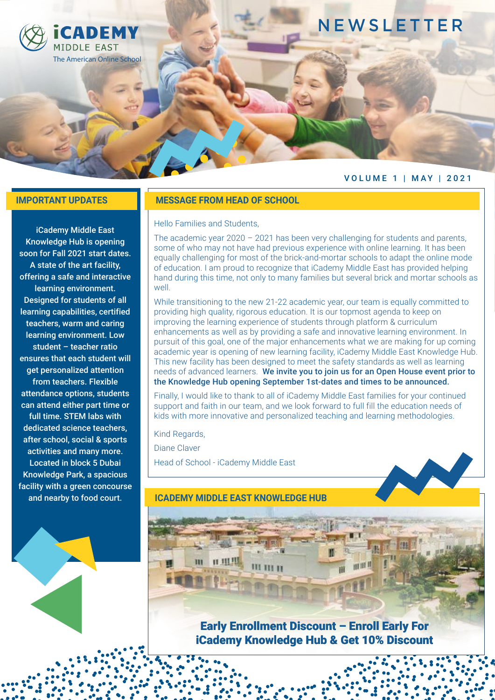

## **NEWSLETTER**

### VOLUME 1 | MAY | 2021

iCademy Middle East Knowledge Hub is opening soon for Fall 2021 start dates. A state of the art facility, offering a safe and interactive learning environment. Designed for students of all learning capabilities, certified teachers, warm and caring learning environment. Low student – teacher ratio ensures that each student will get personalized attention from teachers. Flexible attendance options, students can attend either part time or full time. STEM labs with dedicated science teachers, after school, social & sports activities and many more. Located in block 5 Dubai Knowledge Park, a spacious facility with a green concourse and nearby to food court.

### **IMPORTANT UPDATES MESSAGE FROM HEAD OF SCHOOL**

Hello Families and Students,

The academic year  $2020 - 2021$  has been very challenging for students and parents, some of who may not have had previous experience with online learning. It has been equally challenging for most of the brick-and-mortar schools to adapt the online mode of education. I am proud to recognize that iCademy Middle East has provided helping hand during this time, not only to many families but several brick and mortar schools as well.

While transitioning to the new 21-22 academic year, our team is equally committed to providing high quality, rigorous education. It is our topmost agenda to keep on improving the learning experience of students through platform & curriculum enhancements as well as by providing a safe and innovative learning environment. In pursuit of this goal, one of the major enhancements what we are making for up coming academic year is opening of new learning facility, iCademy Middle East Knowledge Hub. This new facility has been designed to meet the safety standards as well as learning needs of advanced learners. We invite you to join us for an Open House event prior to the Knowledge Hub opening September 1st-dates and times to be announced.

Finally, I would like to thank to all of iCademy Middle East families for your continued support and faith in our team, and we look forward to full fill the education needs of kids with more innovative and personalized teaching and learning methodologies.

Kind Regards,

Diane Claver

ш

Head of School - iCademy Middle East

**IT III III** 

### **ICADEMY MIDDLE EAST KNOWLEDGE HUB**

III III II

### Early Enrollment Discount – Enroll Early For iCademy Knowledge Hub & Get 10% Discount

山田川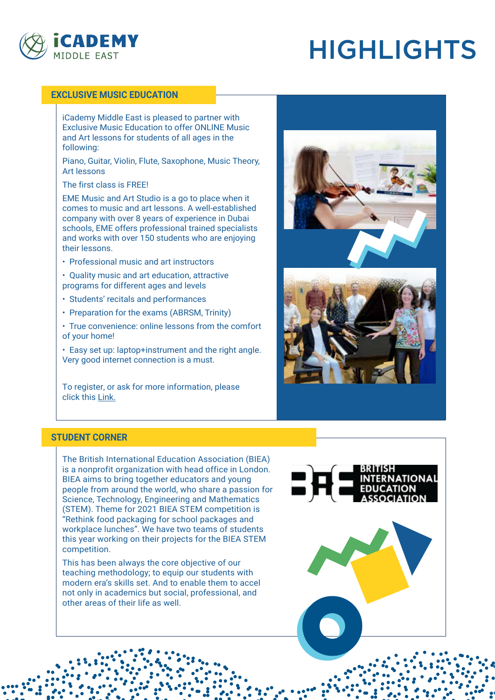

# HIGHLIGHTS

### **EXCLUSIVE MUSIC EDUCATION**

iCademy Middle East is pleased to partner with Exclusive Music Education to offer ONLINE Music and Art lessons for students of all ages in the following:

Piano, Guitar, Violin, Flute, Saxophone, Music Theory, Art lessons

The first class is FREE!

EME Music and Art Studio is a go to place when it comes to music and art lessons. A well-established company with over 8 years of experience in Dubai schools, EME offers professional trained specialists and works with over 150 students who are enjoying their lessons.

• Professional music and art instructors

- Quality music and art education, attractive programs for different ages and levels
- Students' recitals and performances
- Preparation for the exams (ABRSM, Trinity)

• True convenience: online lessons from the comfort of your home!

• Easy set up: laptop+instrument and the right angle. Very good internet connection is a must.

To register, or ask for more information, please clic[k this Link.](https://icademymiddleeast.com/exclusive-music-education/)





### **STUDENT CORNER**

The British International Education Association (BIEA) is a nonprofit organization with head office in London. BIEA aims to bring together educators and young people from around the world, who share a passion for Science, Technology, Engineering and Mathematics (STEM). Theme for 2021 BIEA STEM competition is "Rethink food packaging for school packages and workplace lunches". We have two teams of students this year working on their projects for the BIEA STEM competition.

This has been always the core objective of our teaching methodology; to equip our students with modern era's skills set. And to enable them to accel not only in academics but social, professional, and other areas of their life as well.